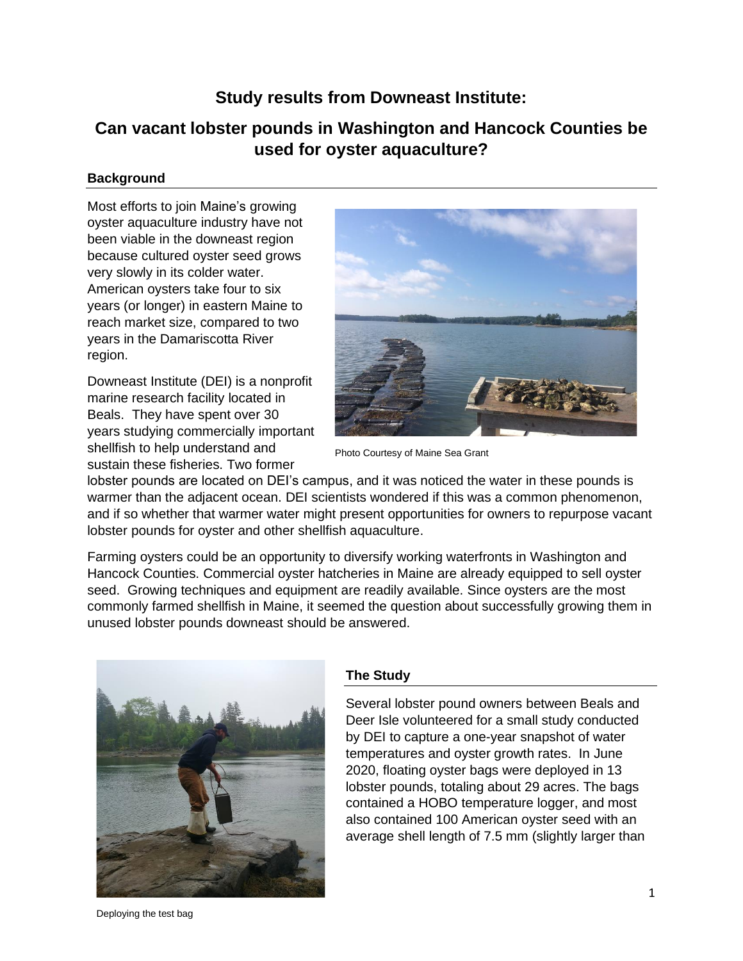## **Study results from Downeast Institute:**

# **Can vacant lobster pounds in Washington and Hancock Counties be used for oyster aquaculture?**

#### **Background**

Most efforts to join Maine's growing oyster aquaculture industry have not been viable in the downeast region because cultured oyster seed grows very slowly in its colder water. American oysters take four to six years (or longer) in eastern Maine to reach market size, compared to two years in the Damariscotta River region.

Downeast Institute (DEI) is a nonprofit marine research facility located in Beals. They have spent over 30 years studying commercially important shellfish to help understand and sustain these fisheries. Two former



Photo Courtesy of Maine Sea Grant

lobster pounds are located on DEI's campus, and it was noticed the water in these pounds is warmer than the adjacent ocean. DEI scientists wondered if this was a common phenomenon, and if so whether that warmer water might present opportunities for owners to repurpose vacant lobster pounds for oyster and other shellfish aquaculture.

Farming oysters could be an opportunity to diversify working waterfronts in Washington and Hancock Counties. Commercial oyster hatcheries in Maine are already equipped to sell oyster seed. Growing techniques and equipment are readily available. Since oysters are the most commonly farmed shellfish in Maine, it seemed the question about successfully growing them in unused lobster pounds downeast should be answered.



### **The Study**

Several lobster pound owners between Beals and Deer Isle volunteered for a small study conducted by DEI to capture a one-year snapshot of water temperatures and oyster growth rates. In June 2020, floating oyster bags were deployed in 13 lobster pounds, totaling about 29 acres. The bags contained a HOBO temperature logger, and most also contained 100 American oyster seed with an average shell length of 7.5 mm (slightly larger than

Deploying the test bag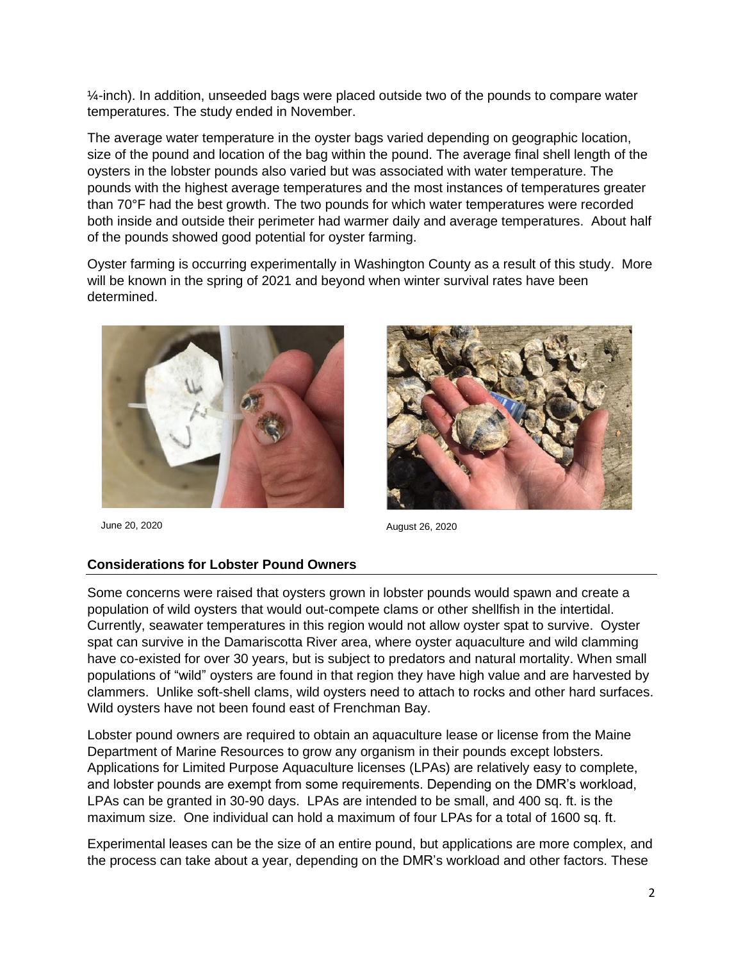$\frac{1}{4}$ -inch). In addition, unseeded bags were placed outside two of the pounds to compare water temperatures. The study ended in November.

The average water temperature in the oyster bags varied depending on geographic location, size of the pound and location of the bag within the pound. The average final shell length of the oysters in the lobster pounds also varied but was associated with water temperature. The pounds with the highest average temperatures and the most instances of temperatures greater than 70°F had the best growth. The two pounds for which water temperatures were recorded both inside and outside their perimeter had warmer daily and average temperatures. About half of the pounds showed good potential for oyster farming.

Oyster farming is occurring experimentally in Washington County as a result of this study. More will be known in the spring of 2021 and beyond when winter survival rates have been determined.





June 20, 2020 August 26, 2020

#### **Considerations for Lobster Pound Owners**

Some concerns were raised that oysters grown in lobster pounds would spawn and create a population of wild oysters that would out-compete clams or other shellfish in the intertidal. Currently, seawater temperatures in this region would not allow oyster spat to survive. Oyster spat can survive in the Damariscotta River area, where oyster aquaculture and wild clamming have co-existed for over 30 years, but is subject to predators and natural mortality. When small populations of "wild" oysters are found in that region they have high value and are harvested by clammers. Unlike soft-shell clams, wild oysters need to attach to rocks and other hard surfaces. Wild oysters have not been found east of Frenchman Bay.

Lobster pound owners are required to obtain an aquaculture lease or license from the Maine Department of Marine Resources to grow any organism in their pounds except lobsters. Applications for Limited Purpose Aquaculture licenses (LPAs) are relatively easy to complete, and lobster pounds are exempt from some requirements. Depending on the DMR's workload, LPAs can be granted in 30-90 days. LPAs are intended to be small, and 400 sq. ft. is the maximum size. One individual can hold a maximum of four LPAs for a total of 1600 sq. ft.

Experimental leases can be the size of an entire pound, but applications are more complex, and the process can take about a year, depending on the DMR's workload and other factors. These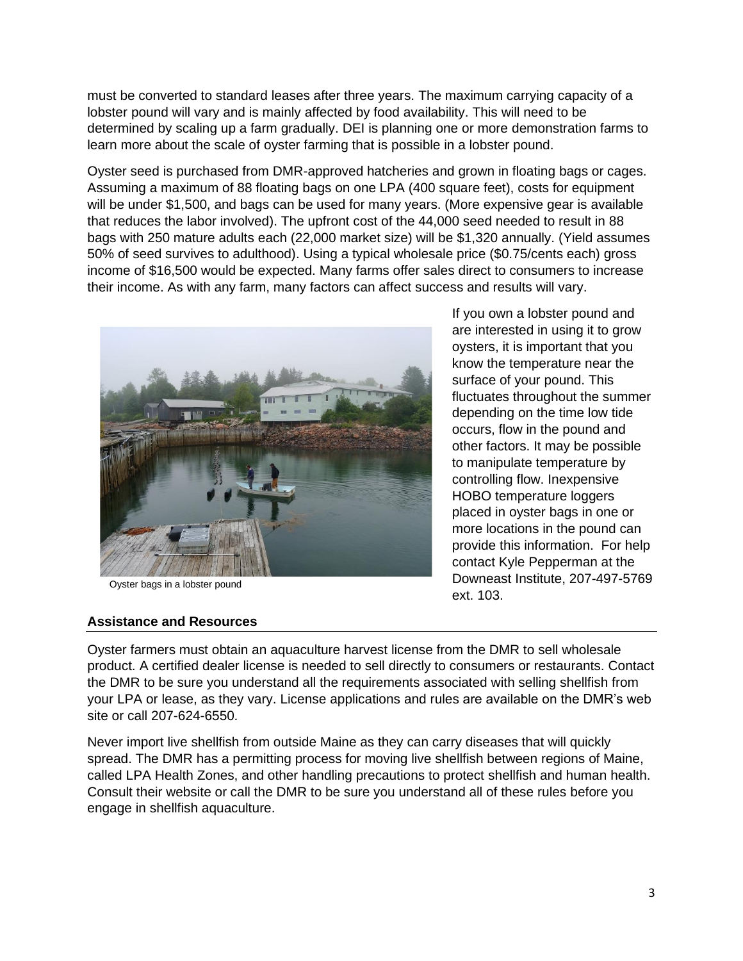must be converted to standard leases after three years. The maximum carrying capacity of a lobster pound will vary and is mainly affected by food availability. This will need to be determined by scaling up a farm gradually. DEI is planning one or more demonstration farms to learn more about the scale of oyster farming that is possible in a lobster pound.

Oyster seed is purchased from DMR-approved hatcheries and grown in floating bags or cages. Assuming a maximum of 88 floating bags on one LPA (400 square feet), costs for equipment will be under \$1,500, and bags can be used for many years. (More expensive gear is available that reduces the labor involved). The upfront cost of the 44,000 seed needed to result in 88 bags with 250 mature adults each (22,000 market size) will be \$1,320 annually. (Yield assumes 50% of seed survives to adulthood). Using a typical wholesale price (\$0.75/cents each) gross income of \$16,500 would be expected. Many farms offer sales direct to consumers to increase their income. As with any farm, many factors can affect success and results will vary.



Oyster bags in a lobster pound

If you own a lobster pound and are interested in using it to grow oysters, it is important that you know the temperature near the surface of your pound. This fluctuates throughout the summer depending on the time low tide occurs, flow in the pound and other factors. It may be possible to manipulate temperature by controlling flow. Inexpensive HOBO temperature loggers placed in oyster bags in one or more locations in the pound can provide this information. For help contact Kyle Pepperman at the Downeast Institute, 207-497-5769 ext. 103.

### **Assistance and Resources**

Oyster farmers must obtain an aquaculture harvest license from the DMR to sell wholesale product. A certified dealer license is needed to sell directly to consumers or restaurants. Contact the DMR to be sure you understand all the requirements associated with selling shellfish from your LPA or lease, as they vary. License applications and rules are available on the DMR's web site or call 207-624-6550.

Never import live shellfish from outside Maine as they can carry diseases that will quickly spread. The DMR has a permitting process for moving live shellfish between regions of Maine, called LPA Health Zones, and other handling precautions to protect shellfish and human health. Consult their website or call the DMR to be sure you understand all of these rules before you engage in shellfish aquaculture.